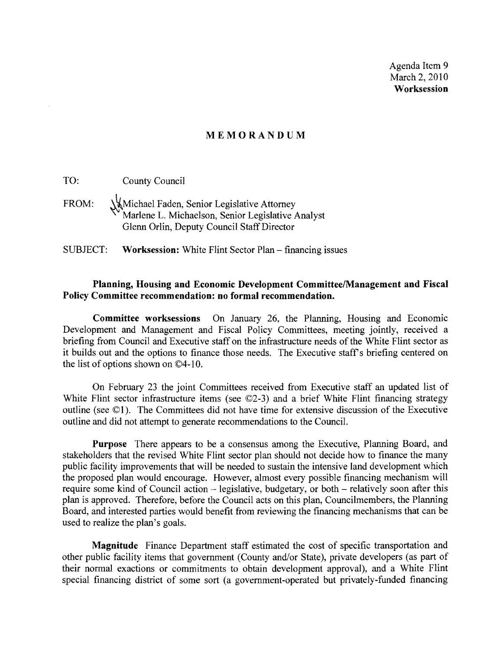Agenda Item 9 March 2, 2010 **Worksession** 

#### **MEMORANDUM**

TO: County Council

FROM: Whichael Faden, Senior Legislative Attorney Marlene L. Michaelson, Senior Legislative Analyst Glenn Orlin, Deputy Council Staff Director

SUBJECT: **Worksession:** White Flint Sector Plan - financing issues

#### **Planning, Housing and Economic Development CommitteelManagement and Fiscal Policy Committee recommendation: no formal recommendation.**

**Committee worksessions** On January 26, the Planning, Housing and Economic DeVelopment and Management and Fiscal Policy Committees, meeting jointly, received a briefing from Council and Executive staff on the infrastructure needs of the White Flint sector as it builds out and the options to finance those needs. The Executive staff's briefing centered on the list of options shown on  $\mathbb{O}4$ -10.

On February 23 the joint Committees received from Executive staff an updated list of White Flint sector infrastructure items (see  $\mathbb{O}(2-3)$ ) and a brief White Flint financing strategy outline (see ©1). The Committees did not have time for extensive discussion of the Executive outline and did not attempt to generate recommendations to the CounciL

**Purpose** There appears to be a consensus among the Executive, Planning Board, and stakeholders that the revised White Flint sector plan should not decide how to finance the many public facility improvements that will be needed to sustain the intensive land development which the proposed plan would encourage. However, almost every possible financing mechanism will require some kind of Council action – legislative, budgetary, or both – relatively soon after this plan is approved. Therefore, before the Council acts on this plan, Councilmembers, the Planning Board, and interested parties would benefit from reviewing the financing mechanisms that can be used to realize the plan's goals.

**Magnitude** Finance Department staff estimated the cost of specific transportation and other public facility items that government (County and/or State), private developers (as part of their normal exactions or commitments to obtain development approval), and a White Flint special financing district of some sort (a government-operated but privately-funded financing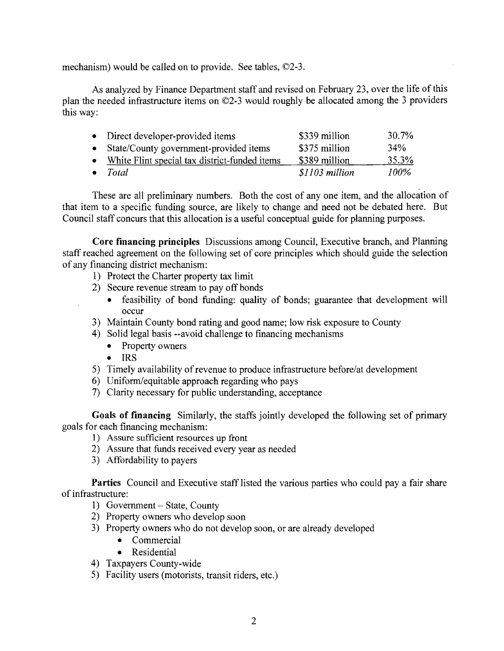mechanism) would be called on to provide. See tables, ©2-3.

As analyzed by Finance Department staff and revised on February 23, over the life ofthis plan the needed infrastructure items on ©2-3 would roughly be allocated among the 3 providers this way:

| • Direct developer-provided items               | \$339 million  | 30.7% |
|-------------------------------------------------|----------------|-------|
| • State/County government-provided items        | \$375 million  | 34%   |
| • White Flint special tax district-funded items | \$389 million  | 35.3% |
| $\bullet$ Total                                 | \$1103 million | 100%  |

These are all preliminary numbers. Both the cost of anyone item, and the allocation of that item to a specific funding source, are likely to change and need not be debated here. But Council staff concurs that this allocation is a useful conceptual guide for planning purposes.

**Core financing principles** Discussions among Council, Executive branch, and Planning staff reached agreement on the following set of core principles which should guide the selection of any financing district mechanism:

- 1) Protect the Charter property tax limit
- 2) Secure revenue stream to pay off bonds
	- feasibility of bond funding: quality of bonds; guarantee that development will occur
- 3) Maintain County bond rating and good name; low risk exposure to County
- 4) Solid legal basis --avoid challenge to financing mechanisms
	- Property owners
	- IRS
- 5) Timely availability of revenue to produce infrastructure before/at development
- 6) Uniform/equitable approach regarding who pays
- 7) Clarity necessary for public understanding, acceptance

**Goals of financing** Similarly, the staffs jointly developed the following set of primary goals for each financing mechanism:

- 1) Assure sufficient resources up front
- 2) Assure that funds received every year as needed
- 3) Affordability to payers

**Parties** Council and Executive staff listed the various parties who could pay a fair share of infrastructure:

- 1) Government State, County
- 2) Property owners who develop soon
- 3) Property owners who do not develop soon, or are already developed
	- Commercial
	- Residential
- 4) Taxpayers County-wide
- 5) Facility users (motorists, transit riders, etc.)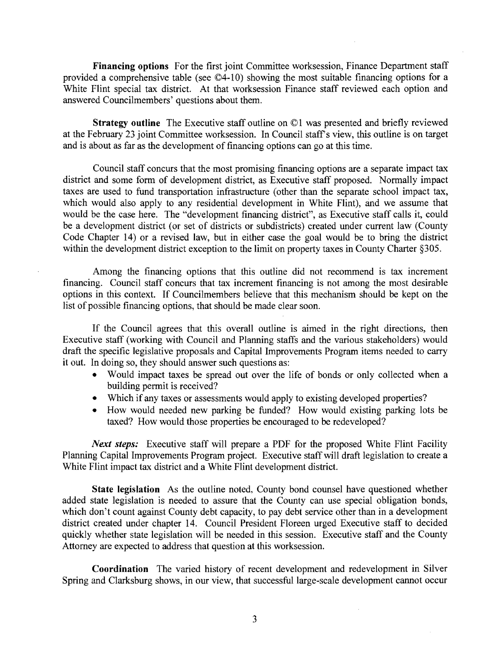Financing options For the first joint Committee worksession, Finance Department staff provided a comprehensive table (see ©4-10) showing the most suitable financing options for a White Flint special tax district. At that worksession Finance staff reviewed each option and answered Councilmembers' questions about them.

Strategy outline The Executive staff outline on ©1 was presented and briefly reviewed at the February 23 joint Committee worksession. In Council staffs view, this outline is on target and is about as far as the development of financing options can go at this time.

Council staff concurs that the most promising financing options are a separate impact tax district and some form of development district, as Executive staff proposed. Normally impact taxes are used to fund transportation infrastructure (other than the separate school impact tax, which would also apply to any residential development in White Flint), and we assume that would be the case here. The "development financing district", as Executive staff calls it, could be a development district (or set of districts or subdistricts) created under current law (County Code Chapter 14) or a revised law, but in either case the goal would be to bring the district within the development district exception to the limit on property taxes in County Charter §30S.

Among the financing options that this outline did not recommend is tax increment financing. Council staff concurs that tax increment financing is not among the most desirable options in this context. If Councilmembers believe that this mechanism should be kept on the list of possible financing options, that should be made clear soon.

If the Council agrees that this overall outline is aimed in the right directions, then Executive staff (working with Council and Planning staffs and the various stakeholders) would draft the specific legislative proposals and Capital Improvements Program items needed to carry it out. In doing so, they should answer such questions as:

- Would impact taxes be spread out over the life of bonds or only collected when a building permit is received?
- Which if any taxes or assessments would apply to existing developed properties?
- How would needed new parking be funded? How would existing parking lots be taxed? How would those properties be encouraged to be redeveloped?

*Next steps:* Executive staff will prepare a PDF for the proposed White Flint Facility Planning Capital Improvements Program project. Executive staff will draft legislation to create a White Flint impact tax district and a White Flint development district.

State legislation As the outline noted, County bond counsel have questioned whether added state legislation is needed to assure that the County can use special obligation bonds, which don't count against County debt capacity, to pay debt service other than in a development district created under chapter 14. Council President Floreen urged Executive staff to decided quickly whether state legislation will be needed in this session. Executive staff and the County Attorney are expected to address that question at this worksession.

Coordination The varied history of recent development and redevelopment in Silver Spring and Clarksburg shows, in our view, that successful large-scale development cannot occur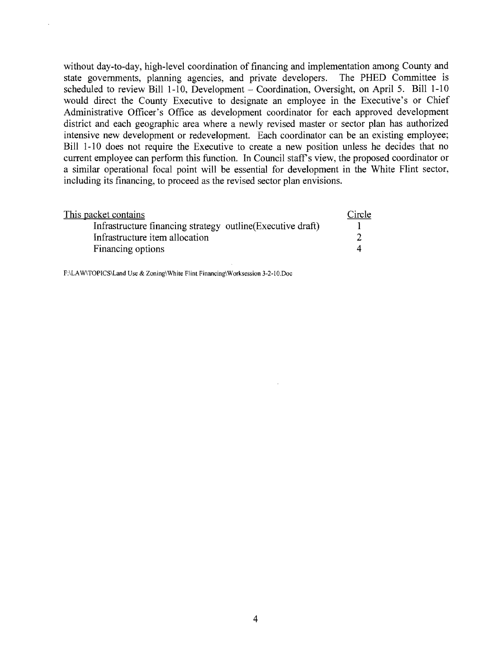without day-to-day, high-level coordination of financing and implementation among County and state governments, planning agencies, and private developers. The PHED Committee is scheduled to review Bill 1-10, Development - Coordination, Oversight, on April 5. Bill 1-10 would direct the County Executive to designate an employee in the Executive's or Chief Administrative Officer's Office as development coordinator for each approved development district and each geographic area where a newly revised master or sector plan has authorized intensive new development or redevelopment. Each coordinator can be an existing employee; Bill 1-10 does not require the Executive to create a new position unless he decides that no current employee can perform this function. In Council staff's view, the proposed coordinator or a similar operational focal point will be essential for development in the White Flint sector, including its financing, to proceed as the revised sector plan envisions.

| This packet contains                                        | Circle |
|-------------------------------------------------------------|--------|
| Infrastructure financing strategy outline (Executive draft) |        |
| Infrastructure item allocation                              |        |
| Financing options                                           |        |

F:\LAw\TOPICS\Land Use & Zoning\White Flint Financing\Worksession 3-2-IO.Doc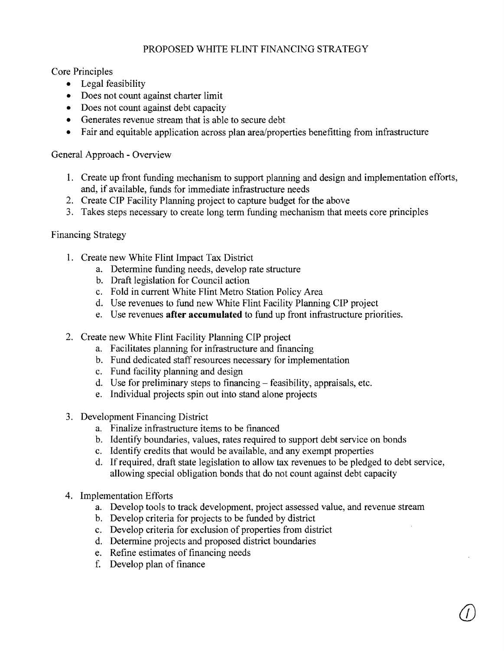# PROPOSED WHITE FLINT FINANCING STRATEGY

Core Principles

- Legal feasibility
- Does not count against charter limit
- Does not count against debt capacity
- Generates revenue stream that is able to secure debt
- Fair and equitable application across plan area/properties benefitting from infrastructure

## General Approach - Overview

- 1. Create up front funding mechanism to support planning and design and implementation efforts, and, if available, funds for immediate infrastructure needs
- 2. Create CIP Facility Planning project to capture budget for the above
- 3. Takes steps necessary to create long term funding mechanism that meets core principles

### Financing Strategy

- 1. Create new White Flint Impact Tax District
	- a. Determine funding needs, develop rate structure
	- b. Draft legislation for Council action
	- c. Fold in current White Flint Metro Station Policy Area
	- d. Use revenues to fund new White Flint Facility Planning CIP project
	- e. Use revenues **after accumulated** to fund up front infrastructure priorities.
- 2. Create new White Flint Facility Planning CIP project
	- a. Facilitates planning for infrastructure and financing
	- b. Fund dedicated staff resources necessary for implementation
	- c. Fund facility planning and design
	- d. Use for preliminary steps to financing feasibility, appraisals, etc.
	- e. Individual projects spin out into stand alone projects
- 3. Development Financing District
	- a. Finalize infrastructure items to be financed
	- b. Identify boundaries, values, rates required to support debt service on bonds
	- c. Identify credits that would be available, and any exempt properties
	- d. **If**required, draft state legislation to allow tax revenues to be pledged to debt service, allowing special obligation bonds that do not count against debt capacity
- 4. Implementation Efforts
	- a. Develop tools to track development, project assessed value, and revenue stream
	- b. Develop criteria for projects to be funded by district
	- c. Develop criteria for exclusion of properties from district
	- d. Determine projects and proposed district boundaries
	- e. Refine estimates of financing needs
	- f. Develop plan of finance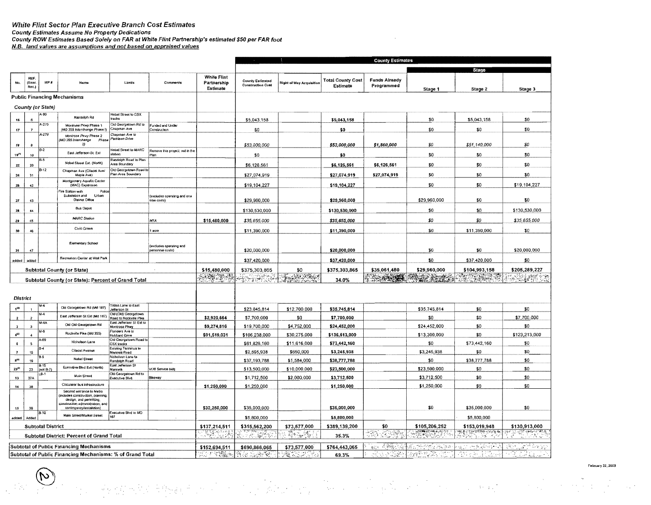#### White Flint Sector Plan Executive Branch Cost Estimates

County Estimates Assume No Property Dedications

 $\widetilde{\mathcal{C}}$ 

(一般的 网络青绿绿青的 经工作

County ROW Estimates Based Solely on FAR at White Flint Partnership's estimated \$50 per FAR foot

N.B. land values are assumptions and not based on appraised values

|                      |                              |                           |                                                                                               |                                                       |                                                     |                                               |                                                           |                                 |                                      | <b>County Estimates</b>            |                               |                              |                     |
|----------------------|------------------------------|---------------------------|-----------------------------------------------------------------------------------------------|-------------------------------------------------------|-----------------------------------------------------|-----------------------------------------------|-----------------------------------------------------------|---------------------------------|--------------------------------------|------------------------------------|-------------------------------|------------------------------|---------------------|
|                      |                              |                           |                                                                                               |                                                       |                                                     |                                               |                                                           |                                 |                                      |                                    |                               | Stage                        |                     |
| No.                  | <b>REF</b><br>(Exac.<br>Rec. | MP #                      | Name                                                                                          | Limits                                                | Comments                                            | <b>White Flint</b><br>Partnership<br>Estimate | <b>County Estimated</b><br><b>Construction Cost</b>       | <b>Right of Way Acquisition</b> | <b>Total County Cost</b><br>Estimate | <b>Funds Already</b><br>Programmed | Stage 1                       | Stage 2                      | Stage 3             |
|                      |                              |                           | <b>Public Financing Mechanisms</b>                                                            |                                                       |                                                     |                                               |                                                           |                                 |                                      |                                    |                               |                              |                     |
|                      |                              | County (or State)         |                                                                                               |                                                       |                                                     |                                               |                                                           |                                 |                                      |                                    |                               |                              |                     |
| 16                   |                              | A-90                      | Randolph Rd                                                                                   | Nebel Street to CSX<br>tracks                         |                                                     |                                               | \$5,043,158                                               |                                 | \$5,043,158                          |                                    | \$0                           | \$5,043,158                  | \$0                 |
|                      |                              | $-270$                    | Montrose Plovy Phase 1                                                                        | <b>Hd Georgetown Rd to</b><br>Chaoman Ave             | unded and Under                                     |                                               |                                                           |                                 |                                      |                                    | \$0                           | \$0                          | \$0                 |
| 17 <sub>1</sub>      |                              | A-270                     | (MD 355 Interchange Phase I<br>Montrose Pkwy Phase 2                                          | Chapman Ave to                                        | Construction                                        |                                               | \$0                                                       |                                 | \$0                                  |                                    |                               |                              |                     |
| $\pmb{\mathcal{10}}$ |                              |                           | MD 355 Interchange<br>Phase<br>2)                                                             | Parklawn Drive                                        |                                                     |                                               | \$53,000,000                                              |                                 | \$53,000,000                         | \$1,860,000                        | \$0                           | \$51,140,000                 | \$0                 |
| 19 <sup>j11</sup>    | 10                           | $B-2$                     | East Jefferson St. Ext                                                                        | Nebel Street to MARC<br>station                       | Remove this project, not in thi<br><sup>3</sup> ian |                                               | \$0                                                       |                                 | \$0                                  |                                    | \$0                           | \$0                          | \$0                 |
| 22                   | 20                           | 6.5                       | Nebel Street Ext. (North)                                                                     | Randolph Road to Plan<br>Area Boundary                |                                                     |                                               | \$6,126,561                                               |                                 | \$6,126,561                          | \$6,126,561                        | \$0                           | \$0                          | \$O                 |
| $\bf 24$             | 31                           | $B-12$                    | Chapman Ave (Citadel Ave)<br>Maple Ave)                                                       | Old Georgetown Road to<br>Pian Area Boundary          |                                                     |                                               | \$27,074,919                                              |                                 | \$27,074,919                         | \$27,074,919                       | \$0                           | \$0                          | \$0                 |
| 28                   | 42                           |                           | Montgomery Aquatic Center<br>(MAC) Expansion                                                  |                                                       |                                                     |                                               | \$19,104,227                                              |                                 | \$19,104,227                         |                                    | \$0                           | \$0                          | \$19,104,227        |
| 27                   | 43                           |                           | Police<br>Fire Slation with<br>Substation and<br>Urban<br><b>District Office</b>              |                                                       | (excludes operating and one<br>time costs)          |                                               | \$29,960,000                                              |                                 | \$29,960,000                         |                                    | \$29,960,000                  | \$0                          | \$0                 |
|                      | 44                           |                           | <b>Bus Depot</b>                                                                              |                                                       |                                                     |                                               | \$130,530,000                                             |                                 | \$130,530,000                        |                                    | \$0                           | \$0                          | \$130,530,000       |
| 28                   |                              |                           | MARC Station                                                                                  |                                                       |                                                     |                                               |                                                           |                                 |                                      |                                    |                               |                              |                     |
| 29                   | 45                           |                           | Civic Green                                                                                   |                                                       | MTA                                                 | \$15,480,000                                  | \$35,655,000                                              |                                 | \$35,655,000                         |                                    | 80                            | \$0                          | \$35,655,000        |
| 30                   | 46                           |                           |                                                                                               |                                                       | acre                                                |                                               | \$11,390,000                                              |                                 | \$11,390,000                         |                                    | \$0                           | \$11,390,000                 | \$0                 |
| 31                   | 47                           |                           | Elementary School                                                                             |                                                       | (excludes operating and<br>personnei costs)         |                                               | \$20,000,000                                              |                                 | \$20,000,000                         |                                    | \$0                           | \$0                          | \$20,000,000        |
| added                | added                        |                           | Recreation Center at Wall Park                                                                |                                                       |                                                     |                                               | \$37,420,000                                              |                                 | \$37,420,000                         |                                    | \$0                           | \$37,420,000                 | \$0                 |
|                      |                              |                           | <b>Subtotal County (or State)</b>                                                             |                                                       |                                                     | \$15,480,000                                  | \$375,303,865                                             | \$0                             | \$375,303,865                        | \$35,061,480                       | \$29,960,000                  | \$104,993,158                | \$205,289,227       |
|                      |                              |                           | Subtotal County (or State): Percent of Grand Total                                            |                                                       |                                                     | <b>A CHAINE A</b>                             | ಿನ ಇಲ್ಲಾಳೆ ಬ                                              | E. DE CAR                       | 34.0%                                | <b>The About</b>                   | 4. 12<br>$\epsilon_{\rm{NN}}$ | $\mathcal{G}$                | SAFROS              |
|                      |                              |                           |                                                                                               |                                                       |                                                     |                                               |                                                           |                                 |                                      |                                    |                               |                              |                     |
|                      | <b>District</b>              |                           |                                                                                               |                                                       |                                                     |                                               |                                                           |                                 |                                      |                                    |                               |                              |                     |
|                      |                              | $M-4$                     | Old Georgetown Rd (Md 187)                                                                    | Tilden Lane to East<br>Jefferson St                   |                                                     |                                               | \$23,045,814                                              | \$12,700,000                    | \$35,745,814                         |                                    | \$35,745,814                  | \$0                          | \$0                 |
| $\overline{2}$       |                              | $M-4$                     | East Jefferson St Ext (Md 187)                                                                | Cld (Old) Georgetown<br>Road to Rockville Pike        |                                                     | \$2,920,664                                   | \$7,700,000                                               | \$0                             | \$7,700,000                          |                                    | \$0                           | \$0                          | \$7,700,000         |
|                      |                              | $M-4A$                    | Old Old Georgetown Rd                                                                         | East Jefferson St Ext to<br>Montrose Pkwy             |                                                     | \$9,274,816                                   | \$19,700,000                                              | \$4,752,000                     | \$24,452,000                         |                                    | \$24,452,000                  | \$0                          | \$0                 |
| $\Phi^{\text{eff}}$  |                              | M-6                       | Rockville Pike (Md 355)                                                                       | Flanders Ave to<br>Hubbard Onve                       |                                                     | \$91,519,031                                  | \$106,238,000                                             | \$30,275,000                    | \$136,513,000                        |                                    | \$13,300,000                  | \$0                          | \$123,213,000       |
| 5                    |                              | A-69                      | Nicholson Lane                                                                                | Old Georgatown Road to<br>CSX tracks                  |                                                     |                                               | \$61,826,160                                              | \$11,616,000                    | \$73,442,160                         |                                    | \$0                           | \$73,442,160                 | \$0                 |
|                      | 15 <sub>1</sub>              | $B-4$                     | Ciladel Avenue                                                                                | Existing Terminus to<br>Marineili Road                |                                                     |                                               | \$2,595,938                                               | \$650,000                       | \$3,245,938                          |                                    | \$3,245,938                   | \$0                          | \$0                 |
| $1^{(1)}$            | 19                           | B-5                       | Nobel Street                                                                                  | l Nicholson Lane to<br>Randolph Road                  |                                                     |                                               | \$37,193,788                                              | \$1,584,000                     | \$38,777,788                         |                                    | \$0                           | \$38,777,788                 | \$0                 |
| $23^{(2)}$           | 23                           | <b>B-15</b><br>$[no1B-7]$ | Executive Blvd Ext (North)                                                                    | East Jefferson St<br>Marmello<br>Old Georgetown Rd to | VOB Service bidg                                    |                                               | \$13,500,000                                              | \$10,000,000                    | \$23,500,000                         |                                    | \$23,500,000                  | \$0                          | \$0                 |
| 13                   | 37A                          | .B-1                      | Main Street                                                                                   | Executive Blvd.                                       | <b>Bikeway</b>                                      |                                               | \$1,712,500                                               | \$2,000,000                     | \$3,712,500                          |                                    | \$3,712,500                   | \$0                          | \$0                 |
| 14                   | 38                           |                           | Circulator bus infrastructure<br>Second antrance to Metro                                     |                                                       |                                                     | \$1,250,000                                   | \$1,250,000                                               |                                 | \$1,250,000                          |                                    | \$1,250,000                   | \$0                          | \$0                 |
|                      |                              |                           | includes construction, planning<br>design, and permitting,<br>construction administration, an |                                                       |                                                     |                                               |                                                           |                                 |                                      |                                    |                               |                              |                     |
| 15                   | 39                           | $B-10$                    | contingency/escalation)<br>Main Street/Market Street                                          | Executive Blvd to MO<br>187                           |                                                     | \$32,250,000                                  | \$35,000,000                                              |                                 | \$35,000,000                         |                                    | \$0                           | \$35,000,000                 | \$0                 |
| added                | Added                        | <b>Subtotal District</b>  |                                                                                               |                                                       |                                                     | \$137,214,511                                 | \$5,800,000<br>\$315,562,200                              | \$73,577,000                    | \$5,800,000<br>\$389,139,200         | \$0                                | \$105,206,252                 | \$5,800,000<br>\$153,019,948 | \$130,913,000       |
|                      |                              |                           | Subtotal District: Percent of Grand Total                                                     |                                                       |                                                     | HAS TO A                                      | 5. atliki (f. 1879)<br>1880 - Paul British, fransk formal | 单 5                             | 35.3%                                | STAN<br>운용장                        | 73895                         |                              | <u>कुच्छ सम्पाद</u> |
|                      |                              |                           |                                                                                               |                                                       |                                                     |                                               |                                                           |                                 |                                      |                                    |                               |                              |                     |
|                      |                              |                           | Subtotal of Public Financing Mechanisms                                                       |                                                       |                                                     | \$152,694,511                                 | \$690,866,065                                             | \$73,577,000                    | \$764,443,065                        | <b>BOOK A STATIST</b>              | al stringen a                 | 法工 地方风俗的人                    | State of Service    |
|                      |                              |                           | Subtotal of Public Financing Mechanisms: % of Grand Total                                     |                                                       |                                                     |                                               | 1963 સ <del>હી</del> જિ                                   | AL WEBSTER                      | 69.3%                                | al 33 st 1998.                     | 放宽的                           | ₩,<br>je i Când              | 不知动物<br>دي.<br>آهين |

 $\label{eq:2} \frac{1}{2} \frac{1}{2} \frac{1}{2} \frac{1}{2} \frac{1}{2} \frac{1}{2} \frac{1}{2} \frac{1}{2} \frac{1}{2} \frac{1}{2} \frac{1}{2} \frac{1}{2} \frac{1}{2} \frac{1}{2} \frac{1}{2} \frac{1}{2} \frac{1}{2} \frac{1}{2} \frac{1}{2} \frac{1}{2} \frac{1}{2} \frac{1}{2} \frac{1}{2} \frac{1}{2} \frac{1}{2} \frac{1}{2} \frac{1}{2} \frac{1}{2} \frac{1}{2} \frac{1}{2} \frac{$ 

 $\mathcal{F}(\mathcal{A}) = \mathcal{F}(\mathcal{A}) \otimes \mathcal{F}(\mathcal{A})$ 

 $\sigma_{\rm{eff}}$ 

 $\Delta\phi = \sqrt{1-\phi}$ 

#### r ebruary 22, 2009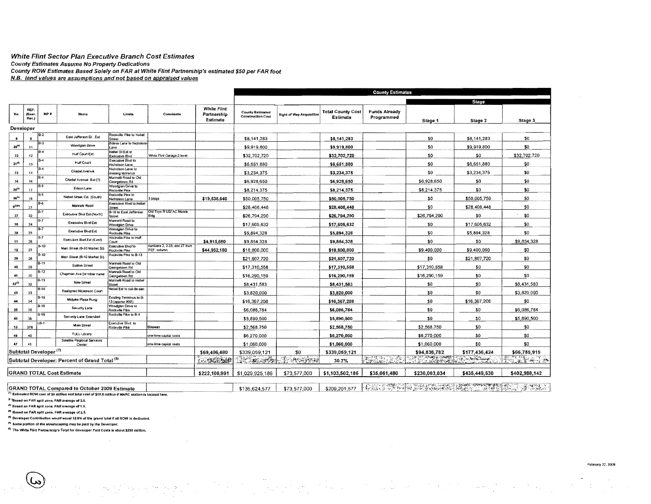#### White Flint Sector Plan Executive Branch Cost Estimates County Estimates Assume No Property Dedications County ROW Estimates Based Solely on FAR at White Flint Partnership's estimated \$50 per FAR foot N.B. land values are assumptions and not based on appraised values

|                 |                        |                                   |                                                           |                                             |                                             |                                               |                                                     |                                 |                                      | <b>County Estimates</b>            |                            |               |               |
|-----------------|------------------------|-----------------------------------|-----------------------------------------------------------|---------------------------------------------|---------------------------------------------|-----------------------------------------------|-----------------------------------------------------|---------------------------------|--------------------------------------|------------------------------------|----------------------------|---------------|---------------|
|                 |                        |                                   |                                                           |                                             |                                             |                                               |                                                     |                                 |                                      |                                    |                            | Stage         |               |
| No.             | REF.<br>(Exec.<br>Rec. | MP#                               | Name                                                      | Limits                                      | Commenta                                    | <b>White Flint</b><br>Partnership<br>Estimate | <b>County Estimated</b><br><b>Construction Cost</b> | <b>Right of Way Acquisition</b> | <b>Total County Cost</b><br>Estimate | <b>Funds Already</b><br>Programmed | Stage 1                    | Stage 2       | Stage 3       |
| Developer       |                        |                                   |                                                           |                                             |                                             |                                               |                                                     |                                 |                                      |                                    |                            |               |               |
|                 |                        | JB-2                              | East Jefferson St. Ext                                    | Rockville Pike to Nebel<br>Street           |                                             |                                               | \$8,141,283                                         |                                 | \$8.141.283                          |                                    | \$0                        | \$8.141.283   | \$0           |
| $20^{(0)}$      | 11                     | B-3                               | Woodglen Dave                                             | Edson Lane lo Nicholson<br>Lane             |                                             |                                               | \$9,919,800                                         |                                 | \$9,919,800                          |                                    | \$0                        | \$9,919,800   | \$0           |
| 32              | 12                     | 34                                | Huff Court Ext                                            | Nabel SI Ext to<br>Executive Blvd           | White Flint Garage 2 level                  |                                               | \$32,702,720                                        |                                 | \$32,702,720                         |                                    | \$0                        | \$0           | \$32,702,720  |
| $21^{(4)}$      | 13                     | $B-4$                             | Huff Court                                                | Executive Blvd to<br><b>Nicholson Lane</b>  |                                             |                                               | \$6,651,880                                         |                                 | \$6,651,880                          |                                    | \$0                        | \$6,651,880   | \$0           |
| 33              | 14                     | B-4                               | Citadel Avenue                                            | Nicholson Lane to<br>existing terminus      |                                             |                                               | \$3,234,375                                         |                                 | \$3,234,375                          |                                    | \$O                        | \$3,234,375   | \$0           |
| 34              | 16                     | $B-4$                             | Citadel Avenua Ext (?)                                    | Marinelli Road to Old<br>Georgetown Rd      |                                             |                                               | \$6,928,650                                         |                                 | \$6,928,650                          |                                    | \$6,928,650                | \$0           | \$0           |
| $35^{(4)}$      | 17                     | IB-5                              | Edson Lane                                                | Woodglen Drive to<br>Rockville Pike         |                                             |                                               | \$8,214,375                                         |                                 | \$8,214,375                          |                                    | \$8,214,375                | \$0           | \$0           |
| $30^{(4)}$      | 18                     | IB-5                              | Nebel Street Ext. (South)                                 | Rockville Pike to<br>Nicholson Lane         | 3 bidgs                                     | \$19,538,640                                  | \$50,005.750                                        |                                 | \$50,005,750                         |                                    | \$0                        | \$50,005.750  | \$0           |
| 9(00)           | 21                     | $B-6$                             | Mannelli Road                                             | Executive Blvd to Nebel<br>Street           |                                             |                                               | \$28.408.448                                        |                                 | \$28,408,448                         |                                    | \$0                        | \$28,408,448  | 30            |
| 37              | 22                     | <b>B.7</b>                        | Executive Blvd Ed (North)                                 | B-16 to East Jefferson<br>Street            | Old Toys R US/ AC Moore<br>Bldg             |                                               | \$26,794,290                                        |                                 | \$26,794,290                         |                                    | \$26,794,290               | \$0           | \$0           |
| 10              | 24                     | <b>B-7</b>                        | Executive Bivd Ext                                        | Mannelli Road to<br>Woodglen Drive          |                                             |                                               | \$17,605,632                                        |                                 | \$17,605,632                         |                                    | \$0                        | \$17,605.632  | \$0           |
| 38              | 25                     | IB-7                              | <b>Executive Bivd Ext</b>                                 | Woodglen Drive to<br>Rockville Pike         |                                             |                                               | \$5,894,328                                         |                                 | \$5,894,328                          |                                    | \$0                        | \$5,894,328   | \$0           |
| $11 -$          | 26                     | <b>B-7</b>                        | Executive Blvd Ext (East)                                 | Rockville Pike to Huff<br>Court             |                                             | \$4,915,680                                   | \$9,854,328                                         |                                 | \$9,854,328                          |                                    | \$0                        | \$0           | \$9,854,328   |
| 12              | 27                     | B-10                              | Main Street (8-10 Market St)                              | Exaculive Bivo to<br>Rockville Pike         | numbers 2, 3.23, and 27 from<br>REF. column | \$44,952,160                                  | \$18,800,000                                        |                                 | \$18,800,000                         |                                    | \$9,400,000                | \$9,400,000   | \$0           |
| 38              | 28                     | 8-10                              | Main Street (B-10 Market SI)                              | Rockville Pike to B-13                      |                                             |                                               | \$21,807,720                                        |                                 | \$21,807,720                         |                                    | \$0                        | \$21,807,720  | \$0           |
| 40              | 29                     | <b>B-11</b>                       | <b>Stallon Street</b>                                     | Marinelli Road to Old<br>Georgetown Rd      |                                             |                                               | \$17,310,558                                        |                                 | \$17,310,558                         |                                    | \$17,310,558               | \$0           | \$0           |
| 41              | 30                     | $B-12$                            | Chapman Ave (or other name                                | Marinelli Road to Old<br>Georgetown Rd      |                                             |                                               | \$16,290,159                                        |                                 | \$16,290,159                         |                                    | \$16,290,159               | \$0           | \$0           |
| $42^{(2)}$      | 32                     | $B-13$                            | New Street                                                | Marinelli Road to Nebel<br>Street           |                                             |                                               | \$8,431,583                                         |                                 | \$8,431,583                          |                                    | \$0                        | \$0           | \$8,431,583   |
| 43              | 33                     | $B-14$                            | Realigned Nicholson Court                                 | Nebal Ext to cul-de-sac                     |                                             |                                               | \$3,820,000                                         |                                 | \$3,820,000                          |                                    | \$0                        | \$0           | \$3,820,000   |
| 44              | 34                     | B-16                              | Midpike Plaza Rung                                        | Existing Terminus to 8-<br>13 (approx 900') |                                             |                                               | \$16,367.208                                        |                                 | \$16,367,208                         |                                    | \$0                        | \$16,367,208  | \$0           |
| 25              | 35                     | B-18                              | Security Lane                                             | Woodgien Drive to<br>Rockville Pike         |                                             |                                               | \$6,086,784                                         |                                 | \$6,086,784                          |                                    | \$0                        | \$0           | \$6,086,784   |
| 45              | 36                     | $B-18$                            | Security Lane Extended                                    | Rackville Pike to B-4                       |                                             |                                               | \$5,890,500                                         |                                 | \$5,890,500                          |                                    | \$0                        | \$0           | \$5,890,500   |
| 13 <sub>1</sub> | 378                    | LB-1                              | Main Streat                                               | Executive Blvd. to<br>Rockville Pike        | Bikoway                                     |                                               | \$2,568,750                                         |                                 | \$2,568,750                          |                                    | \$2,568.750                | \$0           | \$0           |
| 46              | 40                     |                                   | <b>FULL Library</b>                                       |                                             | one-lima capital costs                      |                                               | \$6,270,000                                         |                                 | \$6,270,000                          |                                    | \$6,270,000                | \$0           | \$0           |
| 47              | 41                     |                                   | Satellite Regional Services<br>Center                     |                                             | one-lime capital costs                      |                                               | \$1,060,000                                         |                                 | \$1,060,000                          |                                    | \$1,060,000                | \$0           | 50            |
|                 |                        | Subtotal Developer <sup>(7)</sup> |                                                           |                                             |                                             | \$69,406,480                                  | \$339,059,121                                       | \$0                             | \$339.059.121                        |                                    | \$94,836,782               | \$177,436,424 | \$66,785,915  |
|                 |                        |                                   | Subtotal Developer; Percent of Grand Total <sup>(5)</sup> |                                             |                                             | the stational                                 | <u> Kacada</u>                                      | <b>The Resident</b>             | 30.7%                                | tera 22                            | <b>THE ALL DESCRIPTION</b> |               | The Telescope |
|                 |                        |                                   | <b>GRAND TOTAL Cost Estimate</b>                          |                                             |                                             | \$222,100,991                                 | \$1,029,925,186                                     | \$73,577,000                    | \$1,103,502,186                      | \$35,061,480                       | \$230,003,034              | \$435,449,530 | \$402,988,142 |

 $\frac{1}{3209,201,577}$ GRAND TOTAL Compared to October 2009 Estimate \$135,624,577 \$73,577,000 <sup>(1)</sup> Estimated ROW cost of \$6 million and total cost of \$10.8 million if MARC station is located here,

 $\mathcal{A}=\mathcal{A}$  , we have a set of  $\mathcal{A}=\mathcal{A}$ 

يتبد

 $\sim$ 

<sup>(2)</sup> Based on FAR split zone, FAR average of 3.5.

<sup>(3)</sup> Based on FAR aplit zone. FAR average of 1.5.

 $\odot$ 

<sup>(4)</sup> Based on FAR split zone. FAR average of 2.5.

 $^{(8)}$  Developer Contribution would equal 32.9% of the grand total if all ROW is dedicated.

 $^{(4)}$  Some portion of the streetscaping may be paid by Iha Developer.

 $\sigma$  Ths White Flint Partnership's Total for Devaloper Paid Costa is about \$230 million.

 $\sim$   $_{\odot}$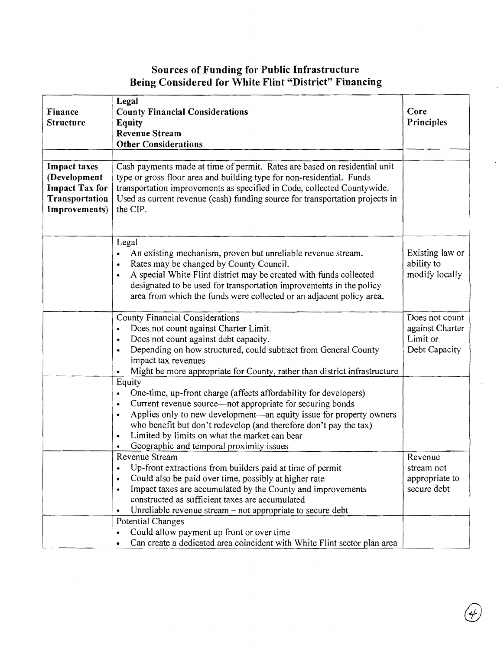# **Sources of Funding for Public Infrastructure Being Considered for White Flint "District" Financing**

|                       | Legal                                                                            |                 |
|-----------------------|----------------------------------------------------------------------------------|-----------------|
| Finance               | <b>County Financial Considerations</b>                                           | Core            |
| <b>Structure</b>      | <b>Equity</b>                                                                    | Principles      |
|                       | <b>Revenue Stream</b>                                                            |                 |
|                       | <b>Other Considerations</b>                                                      |                 |
|                       |                                                                                  |                 |
| <b>Impact taxes</b>   | Cash payments made at time of permit. Rates are based on residential unit        |                 |
| (Development          | type or gross floor area and building type for non-residential. Funds            |                 |
| <b>Impact Tax for</b> | transportation improvements as specified in Code, collected Countywide.          |                 |
| Transportation        | Used as current revenue (cash) funding source for transportation projects in     |                 |
| Improvements)         | the CIP.                                                                         |                 |
|                       |                                                                                  |                 |
|                       |                                                                                  |                 |
|                       | Legal                                                                            |                 |
|                       | An existing mechanism, proven but unreliable revenue stream.<br>$\bullet$        | Existing law or |
|                       | Rates may be changed by County Council.<br>$\bullet$                             | ability to      |
|                       | A special White Flint district may be created with funds collected               | modify locally  |
|                       | designated to be used for transportation improvements in the policy.             |                 |
|                       | area from which the funds were collected or an adjacent policy area.             |                 |
|                       | <b>County Financial Considerations</b>                                           | Does not count  |
|                       | Does not count against Charter Limit.<br>$\bullet$                               | against Charter |
|                       | Does not count against debt capacity.<br>۰                                       | Limit or        |
|                       | Depending on how structured, could subtract from General County<br>۰             | Debt Capacity   |
|                       | impact tax revenues                                                              |                 |
|                       | Might be more appropriate for County, rather than district infrastructure        |                 |
|                       | Equity                                                                           |                 |
|                       | One-time, up-front charge (affects affordability for developers)<br>٠            |                 |
|                       | Current revenue source—not appropriate for securing bonds<br>٠                   |                 |
|                       | Applies only to new development—an equity issue for property owners<br>$\bullet$ |                 |
|                       | who benefit but don't redevelop (and therefore don't pay the tax)                |                 |
|                       | Limited by limits on what the market can bear<br>$\bullet$                       |                 |
|                       | Geographic and temporal proximity issues                                         |                 |
|                       | Revenue Stream                                                                   | Revenue         |
|                       | Up-front extractions from builders paid at time of permit<br>۰                   | stream not      |
|                       | Could also be paid over time, possibly at higher rate<br>$\bullet$               | appropriate to  |
|                       | Impact taxes are accumulated by the County and improvements<br>٠                 | secure debt     |
|                       | constructed as sufficient taxes are accumulated                                  |                 |
|                       | Unreliable revenue stream – not appropriate to secure debt<br>$\bullet$          |                 |
|                       | Potential Changes                                                                |                 |
|                       | Could allow payment up front or over time<br>٠                                   |                 |
|                       | Can create a dedicated area coincident with White Flint sector plan area         |                 |

 $\overline{\phantom{a}}$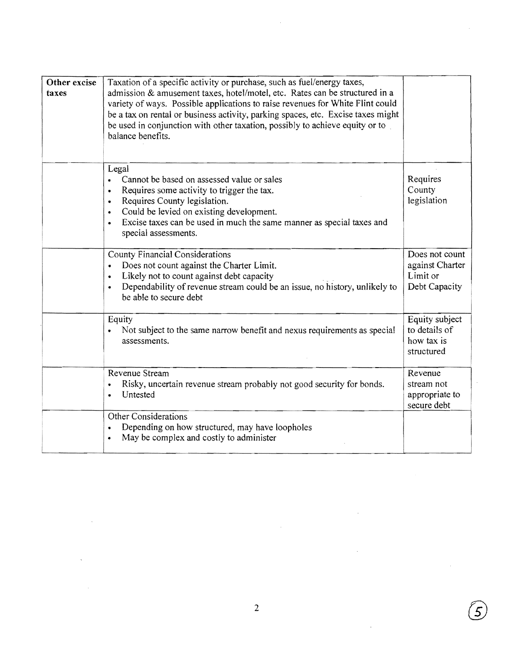| Other excise<br>taxes | Taxation of a specific activity or purchase, such as fuel/energy taxes,<br>admission & amusement taxes, hotel/motel, etc. Rates can be structured in a<br>variety of ways. Possible applications to raise revenues for White Flint could<br>be a tax on rental or business activity, parking spaces, etc. Excise taxes might<br>be used in conjunction with other taxation, possibly to achieve equity or to<br>balance benefits. |                                                                |
|-----------------------|-----------------------------------------------------------------------------------------------------------------------------------------------------------------------------------------------------------------------------------------------------------------------------------------------------------------------------------------------------------------------------------------------------------------------------------|----------------------------------------------------------------|
|                       | Legal<br>Cannot be based on assessed value or sales<br>$\bullet$<br>Requires some activity to trigger the tax.<br>$\bullet$<br>Requires County legislation.<br>$\bullet$<br>Could be levied on existing development.<br>Excise taxes can be used in much the same manner as special taxes and<br>special assessments.                                                                                                             | Requires<br>County<br>legislation                              |
|                       | <b>County Financial Considerations</b><br>Does not count against the Charter Limit.<br>$\bullet$<br>Likely not to count against debt capacity<br>$\bullet$<br>Dependability of revenue stream could be an issue, no history, unlikely to<br>$\bullet$<br>be able to secure debt                                                                                                                                                   | Does not count<br>against Charter<br>Limit or<br>Debt Capacity |
|                       | Equity<br>Not subject to the same narrow benefit and nexus requirements as special<br>assessments.                                                                                                                                                                                                                                                                                                                                | Equity subject<br>to details of<br>how tax is<br>structured    |
|                       | Revenue Stream<br>Risky, uncertain revenue stream probably not good security for bonds.<br>Untested                                                                                                                                                                                                                                                                                                                               | Revenue<br>stream not<br>appropriate to<br>secure debt         |
|                       | Other Considerations<br>Depending on how structured, may have loopholes<br>$\bullet$<br>May be complex and costly to administer<br>$\bullet$                                                                                                                                                                                                                                                                                      |                                                                |

5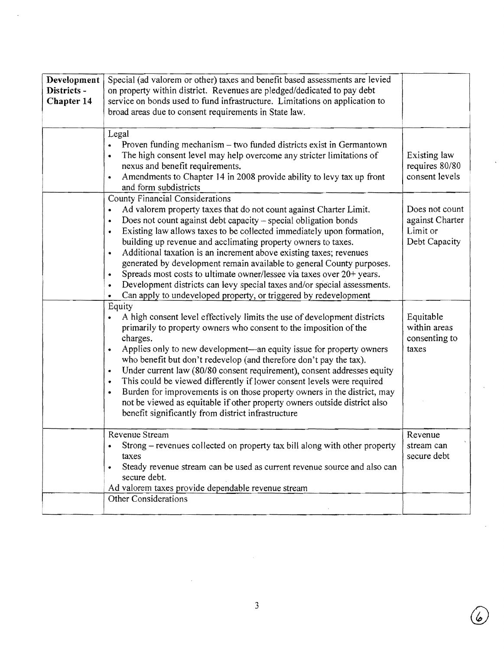| Development<br>Districts -<br>Chapter 14 | Special (ad valorem or other) taxes and benefit based assessments are levied<br>on property within district. Revenues are pledged/dedicated to pay debt<br>service on bonds used to fund infrastructure. Limitations on application to<br>broad areas due to consent requirements in State law.<br>Legal                                                                                                                                                                                                                                                                                                                                                                                                                                   |                                                                |
|------------------------------------------|--------------------------------------------------------------------------------------------------------------------------------------------------------------------------------------------------------------------------------------------------------------------------------------------------------------------------------------------------------------------------------------------------------------------------------------------------------------------------------------------------------------------------------------------------------------------------------------------------------------------------------------------------------------------------------------------------------------------------------------------|----------------------------------------------------------------|
|                                          | Proven funding mechanism – two funded districts exist in Germantown<br>The high consent level may help overcome any stricter limitations of<br>٠<br>nexus and benefit requirements.<br>Amendments to Chapter 14 in 2008 provide ability to levy tax up front<br>$\bullet$<br>and form subdistricts                                                                                                                                                                                                                                                                                                                                                                                                                                         | Existing law<br>requires 80/80<br>consent levels               |
|                                          | <b>County Financial Considerations</b><br>Ad valorem property taxes that do not count against Charter Limit.<br>Does not count against debt capacity - special obligation bonds<br>٠<br>Existing law allows taxes to be collected immediately upon formation,<br>$\bullet$<br>building up revenue and acclimating property owners to taxes.<br>Additional taxation is an increment above existing taxes; revenues<br>$\bullet$<br>generated by development remain available to general County purposes.<br>Spreads most costs to ultimate owner/lessee via taxes over 20+ years.<br>۰<br>Development districts can levy special taxes and/or special assessments.<br>۰<br>Can apply to undeveloped property, or triggered by redevelopment | Does not count<br>against Charter<br>Limit or<br>Debt Capacity |
|                                          | Equity<br>A high consent level effectively limits the use of development districts<br>primarily to property owners who consent to the imposition of the<br>charges.<br>Applies only to new development—an equity issue for property owners<br>$\bullet$<br>who benefit but don't redevelop (and therefore don't pay the tax).<br>Under current law (80/80 consent requirement), consent addresses equity<br>$\bullet$<br>This could be viewed differently if lower consent levels were required<br>$\bullet$<br>Burden for improvements is on those property owners in the district, may<br>$\bullet$<br>not be viewed as equitable if other property owners outside district also<br>benefit significantly from district infrastructure   | Equitable<br>within areas<br>consenting to<br>taxes            |
|                                          | Revenue Stream<br>Strong – revenues collected on property tax bill along with other property<br>taxes<br>Steady revenue stream can be used as current revenue source and also can<br>secure debt.<br>Ad valorem taxes provide dependable revenue stream                                                                                                                                                                                                                                                                                                                                                                                                                                                                                    | Revenue<br>stream can<br>secure debt                           |
|                                          | Other Considerations                                                                                                                                                                                                                                                                                                                                                                                                                                                                                                                                                                                                                                                                                                                       |                                                                |

 $\bigcirc$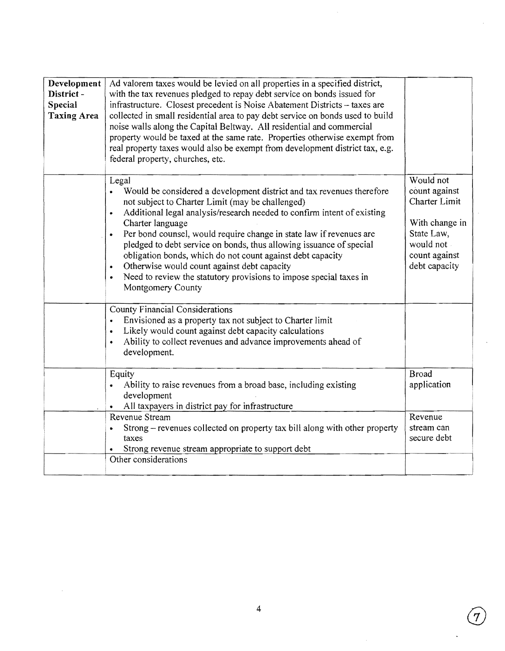| Development<br>District-<br><b>Special</b><br><b>Taxing Area</b> | Ad valorem taxes would be levied on all properties in a specified district,<br>with the tax revenues pledged to repay debt service on bonds issued for<br>infrastructure. Closest precedent is Noise Abatement Districts - taxes are<br>collected in small residential area to pay debt service on bonds used to build<br>noise walls along the Capital Beltway. All residential and commercial<br>property would be taxed at the same rate. Properties otherwise exempt from<br>real property taxes would also be exempt from development district tax, e.g.<br>federal property, churches, etc.    |                                                                                                                            |
|------------------------------------------------------------------|------------------------------------------------------------------------------------------------------------------------------------------------------------------------------------------------------------------------------------------------------------------------------------------------------------------------------------------------------------------------------------------------------------------------------------------------------------------------------------------------------------------------------------------------------------------------------------------------------|----------------------------------------------------------------------------------------------------------------------------|
|                                                                  | Legal<br>Would be considered a development district and tax revenues therefore<br>$\bullet$<br>not subject to Charter Limit (may be challenged)<br>Additional legal analysis/research needed to confirm intent of existing<br>Charter language<br>Per bond counsel, would require change in state law if revenues are<br>pledged to debt service on bonds, thus allowing issuance of special<br>obligation bonds, which do not count against debt capacity<br>Otherwise would count against debt capacity<br>Need to review the statutory provisions to impose special taxes in<br>Montgomery County | Would not<br>count against<br>Charter Limit<br>With change in<br>State Law,<br>would not<br>count against<br>debt capacity |
|                                                                  | <b>County Financial Considerations</b><br>Envisioned as a property tax not subject to Charter limit<br>$\bullet$<br>Likely would count against debt capacity calculations<br>$\bullet$<br>Ability to collect revenues and advance improvements ahead of<br>$\bullet$<br>development.                                                                                                                                                                                                                                                                                                                 |                                                                                                                            |
|                                                                  | Equity<br>Ability to raise revenues from a broad base, including existing<br>$\bullet$<br>development<br>All taxpayers in district pay for infrastructure<br>$\bullet$<br>Revenue Stream                                                                                                                                                                                                                                                                                                                                                                                                             | <b>Broad</b><br>application<br>Revenue                                                                                     |
|                                                                  | Strong – revenues collected on property tax bill along with other property<br>$\bullet$<br>taxes<br>Strong revenue stream appropriate to support debt<br>Other considerations                                                                                                                                                                                                                                                                                                                                                                                                                        | stream can<br>secure debt                                                                                                  |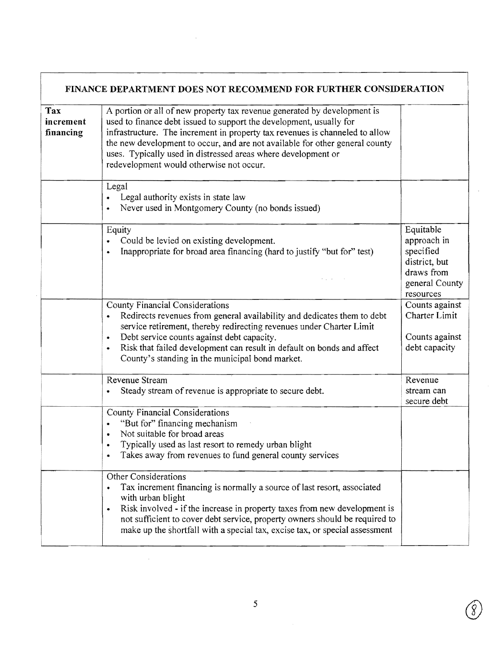|                               | FINANCE DEPARTMENT DOES NOT RECOMMEND FOR FURTHER CONSIDERATION                                                                                                                                                                                                                                                                                                                                                              |                                                                                                     |
|-------------------------------|------------------------------------------------------------------------------------------------------------------------------------------------------------------------------------------------------------------------------------------------------------------------------------------------------------------------------------------------------------------------------------------------------------------------------|-----------------------------------------------------------------------------------------------------|
| Tax<br>increment<br>financing | A portion or all of new property tax revenue generated by development is<br>used to finance debt issued to support the development, usually for<br>infrastructure. The increment in property tax revenues is channeled to allow<br>the new development to occur, and are not available for other general county<br>uses. Typically used in distressed areas where development or<br>redevelopment would otherwise not occur. |                                                                                                     |
|                               | Legal<br>Legal authority exists in state law<br>Never used in Montgomery County (no bonds issued)<br>٠                                                                                                                                                                                                                                                                                                                       |                                                                                                     |
|                               | Equity<br>Could be levied on existing development.<br>Inappropriate for broad area financing (hard to justify "but for" test)<br>$\bullet$                                                                                                                                                                                                                                                                                   | Equitable<br>approach in<br>specified<br>district, but<br>draws from<br>general County<br>resources |
|                               | County Financial Considerations<br>Redirects revenues from general availability and dedicates them to debt<br>٠<br>service retirement, thereby redirecting revenues under Charter Limit<br>Debt service counts against debt capacity.<br>٠<br>Risk that failed development can result in default on bonds and affect<br>٠<br>County's standing in the municipal bond market.                                                 | Counts against<br>Charter Limit<br>Counts against<br>debt capacity                                  |
|                               | Revenue Stream<br>Steady stream of revenue is appropriate to secure debt.<br>$\bullet$                                                                                                                                                                                                                                                                                                                                       | Revenue<br>stream can<br>secure debt                                                                |
|                               | County Financial Considerations<br>"But for" financing mechanism<br>٠<br>Not suitable for broad areas<br>۰<br>Typically used as last resort to remedy urban blight<br>Takes away from revenues to fund general county services<br>٠                                                                                                                                                                                          |                                                                                                     |
|                               | Other Considerations<br>Tax increment financing is normally a source of last resort, associated<br>with urban blight<br>Risk involved - if the increase in property taxes from new development is<br>$\bullet$<br>not sufficient to cover debt service, property owners should be required to<br>make up the shortfall with a special tax, excise tax, or special assessment                                                 |                                                                                                     |

Г

 $\hat{\boldsymbol{\theta}}$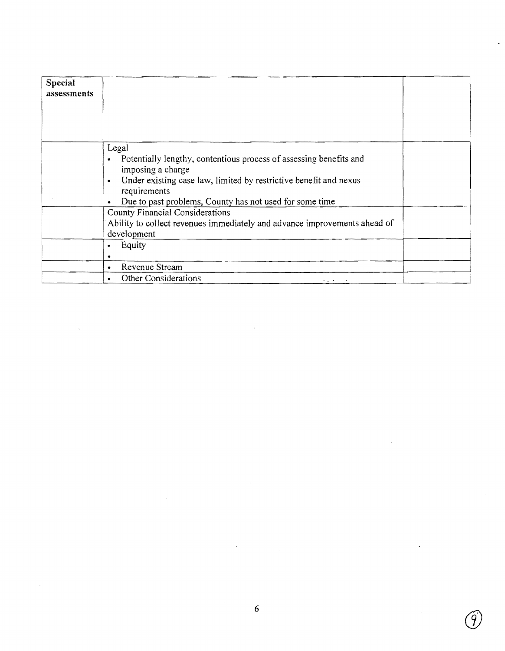| Special<br>assessments |                                                                                                                                                                                                                                                                            |  |
|------------------------|----------------------------------------------------------------------------------------------------------------------------------------------------------------------------------------------------------------------------------------------------------------------------|--|
|                        |                                                                                                                                                                                                                                                                            |  |
|                        | Legal<br>Potentially lengthy, contentious process of assessing benefits and<br>$\bullet$<br>imposing a charge<br>Under existing case law, limited by restrictive benefit and nexus<br>$\bullet$<br>requirements<br>Due to past problems, County has not used for some time |  |
|                        | County Financial Considerations<br>Ability to collect revenues immediately and advance improvements ahead of<br>development                                                                                                                                                |  |
|                        | Equity<br>۰                                                                                                                                                                                                                                                                |  |
|                        | Revenue Stream<br>٠                                                                                                                                                                                                                                                        |  |
|                        | Other Considerations<br>the control                                                                                                                                                                                                                                        |  |

9